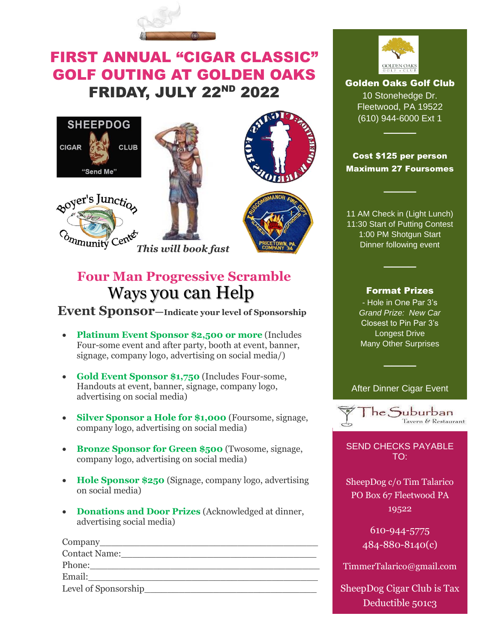

## FIRST ANNUAL "CIGAR CLASSIC" GOLF OUTING AT GOLDEN OAKS FRIDAY, JULY 22ND 2022









# **Four Man Progressive Scramble** Ways you can Help

*This will book fast*

 **Event Sponsor—Indicate your level of Sponsorship**

- **Platinum Event Sponsor \$2,500 or more** (Includes Four-some event and after party, booth at event, banner, signage, company logo, advertising on social media/)
- **Gold Event Sponsor \$1,750** (Includes Four-some, Handouts at event, banner, signage, company logo, advertising on social media)
- **Silver Sponsor a Hole for \$1,000** (Foursome, signage, company logo, advertising on social media)
- **Bronze Sponsor for Green \$500** (Twosome, signage, company logo, advertising on social media)
- **Hole Sponsor \$250** (Signage, company logo, advertising on social media)
- **Donations and Door Prizes** (Acknowledged at dinner, advertising social media)

| Company              |
|----------------------|
| <b>Contact Name:</b> |
| Phone:               |
| Email:               |
| Level of Sponsorship |



Golden Oaks Golf Club 10 Stonehedge Dr. Fleetwood, PA 19522 (610) 944-6000 Ext 1

## Cost \$125 per person Maximum 27 Foursomes

────

────

11 AM Check in (Light Lunch) 11:30 Start of Putting Contest 1:00 PM Shotgun Start Dinner following event

## Format Prizes

────

- Hole in One Par 3's *Grand Prize: New Car*  Closest to Pin Par 3's Longest Drive Many Other Surprises

After Dinner Cigar Event

────



SEND CHECKS PAYABLE TO:

SheepDog c/o Tim Talarico PO Box 67 Fleetwood PA 19522

> 610-944-5775 484-880-8140(c)

TimmerTalarico@gmail.com

SheepDog Cigar Club is Tax Deductible 501c3

**EIN- 84-2828270**